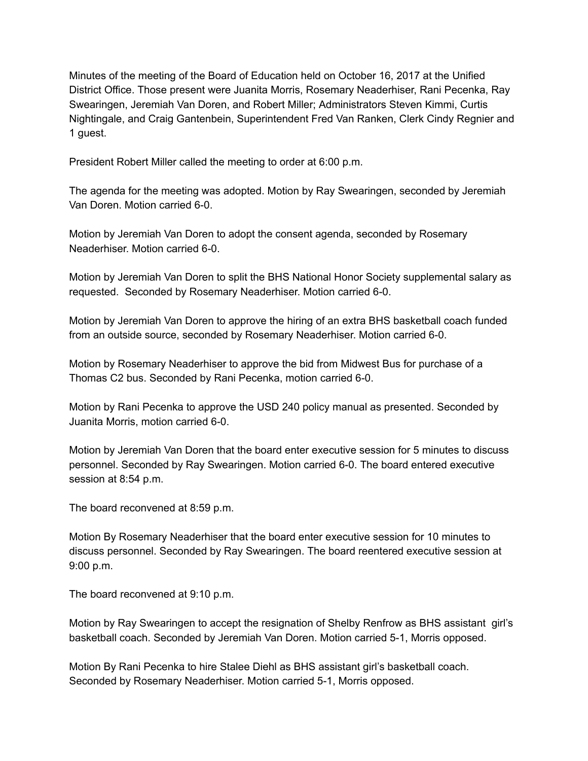Minutes of the meeting of the Board of Education held on October 16, 2017 at the Unified District Office. Those present were Juanita Morris, Rosemary Neaderhiser, Rani Pecenka, Ray Swearingen, Jeremiah Van Doren, and Robert Miller; Administrators Steven Kimmi, Curtis Nightingale, and Craig Gantenbein, Superintendent Fred Van Ranken, Clerk Cindy Regnier and 1 guest.

President Robert Miller called the meeting to order at 6:00 p.m.

The agenda for the meeting was adopted. Motion by Ray Swearingen, seconded by Jeremiah Van Doren. Motion carried 6-0.

Motion by Jeremiah Van Doren to adopt the consent agenda, seconded by Rosemary Neaderhiser. Motion carried 6-0.

Motion by Jeremiah Van Doren to split the BHS National Honor Society supplemental salary as requested. Seconded by Rosemary Neaderhiser. Motion carried 6-0.

Motion by Jeremiah Van Doren to approve the hiring of an extra BHS basketball coach funded from an outside source, seconded by Rosemary Neaderhiser. Motion carried 60.

Motion by Rosemary Neaderhiser to approve the bid from Midwest Bus for purchase of a Thomas C2 bus. Seconded by Rani Pecenka, motion carried 6-0.

Motion by Rani Pecenka to approve the USD 240 policy manual as presented. Seconded by Juanita Morris, motion carried 6-0.

Motion by Jeremiah Van Doren that the board enter executive session for 5 minutes to discuss personnel. Seconded by Ray Swearingen. Motion carried 6-0. The board entered executive session at 8:54 p.m.

The board reconvened at 8:59 p.m.

Motion By Rosemary Neaderhiser that the board enter executive session for 10 minutes to discuss personnel. Seconded by Ray Swearingen. The board reentered executive session at 9:00 p.m.

The board reconvened at 9:10 p.m.

Motion by Ray Swearingen to accept the resignation of Shelby Renfrow as BHS assistant girl's basketball coach. Seconded by Jeremiah Van Doren. Motion carried 51, Morris opposed.

Motion By Rani Pecenka to hire Stalee Diehl as BHS assistant girl's basketball coach. Seconded by Rosemary Neaderhiser. Motion carried 5-1, Morris opposed.